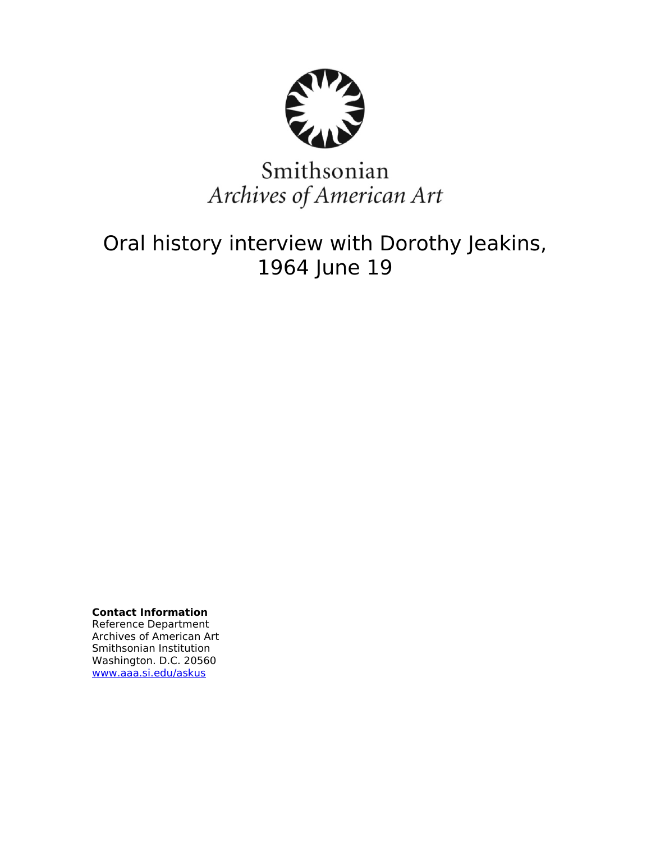

# Smithsonian Archives of American Art

# Oral history interview with Dorothy Jeakins, 1964 June 19

**Contact Information** Reference Department Archives of American Art Smithsonian Institution Washington. D.C. 20560 [www.aaa.si.edu/askus](http://www.aaa.si.edu/askus)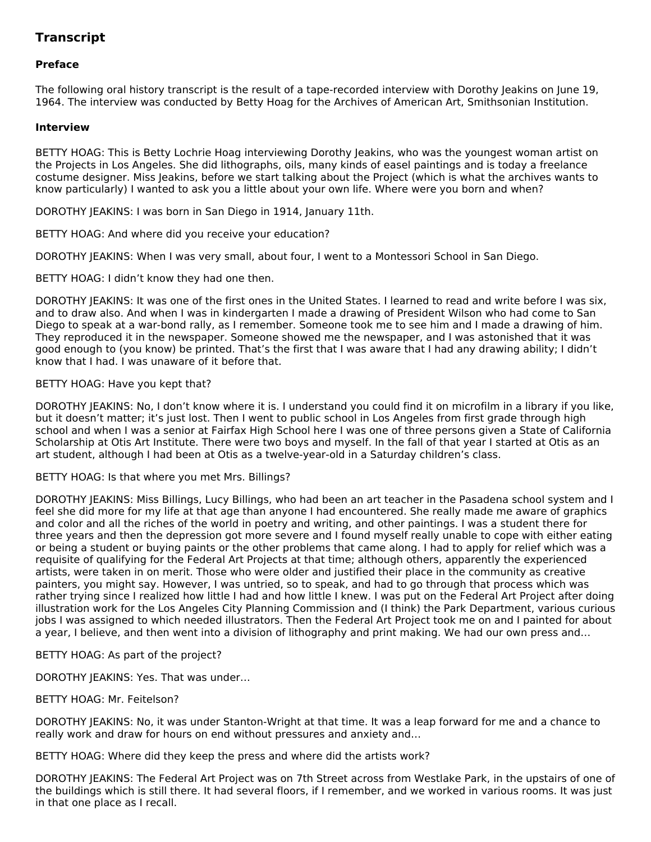# **Transcript**

## **Preface**

The following oral history transcript is the result of a tape-recorded interview with Dorothy Jeakins on June 19, 1964. The interview was conducted by Betty Hoag for the Archives of American Art, Smithsonian Institution.

#### **Interview**

BETTY HOAG: This is Betty Lochrie Hoag interviewing Dorothy Jeakins, who was the youngest woman artist on the Projects in Los Angeles. She did lithographs, oils, many kinds of easel paintings and is today a freelance costume designer. Miss Jeakins, before we start talking about the Project (which is what the archives wants to know particularly) I wanted to ask you a little about your own life. Where were you born and when?

DOROTHY JEAKINS: I was born in San Diego in 1914, January 11th.

BETTY HOAG: And where did you receive your education?

DOROTHY JEAKINS: When I was very small, about four, I went to a Montessori School in San Diego.

BETTY HOAG: I didn't know they had one then.

DOROTHY JEAKINS: It was one of the first ones in the United States. I learned to read and write before I was six, and to draw also. And when I was in kindergarten I made a drawing of President Wilson who had come to San Diego to speak at a war-bond rally, as I remember. Someone took me to see him and I made a drawing of him. They reproduced it in the newspaper. Someone showed me the newspaper, and I was astonished that it was good enough to (you know) be printed. That's the first that I was aware that I had any drawing ability; I didn't know that I had. I was unaware of it before that.

#### BETTY HOAG: Have you kept that?

DOROTHY JEAKINS: No, I don't know where it is. I understand you could find it on microfilm in a library if you like, but it doesn't matter; it's just lost. Then I went to public school in Los Angeles from first grade through high school and when I was a senior at Fairfax High School here I was one of three persons given a State of California Scholarship at Otis Art Institute. There were two boys and myself. In the fall of that year I started at Otis as an art student, although I had been at Otis as a twelve-year-old in a Saturday children's class.

BETTY HOAG: Is that where you met Mrs. Billings?

DOROTHY JEAKINS: Miss Billings, Lucy Billings, who had been an art teacher in the Pasadena school system and I feel she did more for my life at that age than anyone I had encountered. She really made me aware of graphics and color and all the riches of the world in poetry and writing, and other paintings. I was a student there for three years and then the depression got more severe and I found myself really unable to cope with either eating or being a student or buying paints or the other problems that came along. I had to apply for relief which was a requisite of qualifying for the Federal Art Projects at that time; although others, apparently the experienced artists, were taken in on merit. Those who were older and justified their place in the community as creative painters, you might say. However, I was untried, so to speak, and had to go through that process which was rather trying since I realized how little I had and how little I knew. I was put on the Federal Art Project after doing illustration work for the Los Angeles City Planning Commission and (I think) the Park Department, various curious jobs I was assigned to which needed illustrators. Then the Federal Art Project took me on and I painted for about a year, I believe, and then went into a division of lithography and print making. We had our own press and…

BETTY HOAG: As part of the project?

DOROTHY JEAKINS: Yes. That was under…

#### BETTY HOAG: Mr. Feitelson?

DOROTHY JEAKINS: No, it was under Stanton-Wright at that time. It was a leap forward for me and a chance to really work and draw for hours on end without pressures and anxiety and…

BETTY HOAG: Where did they keep the press and where did the artists work?

DOROTHY JEAKINS: The Federal Art Project was on 7th Street across from Westlake Park, in the upstairs of one of the buildings which is still there. It had several floors, if I remember, and we worked in various rooms. It was just in that one place as I recall.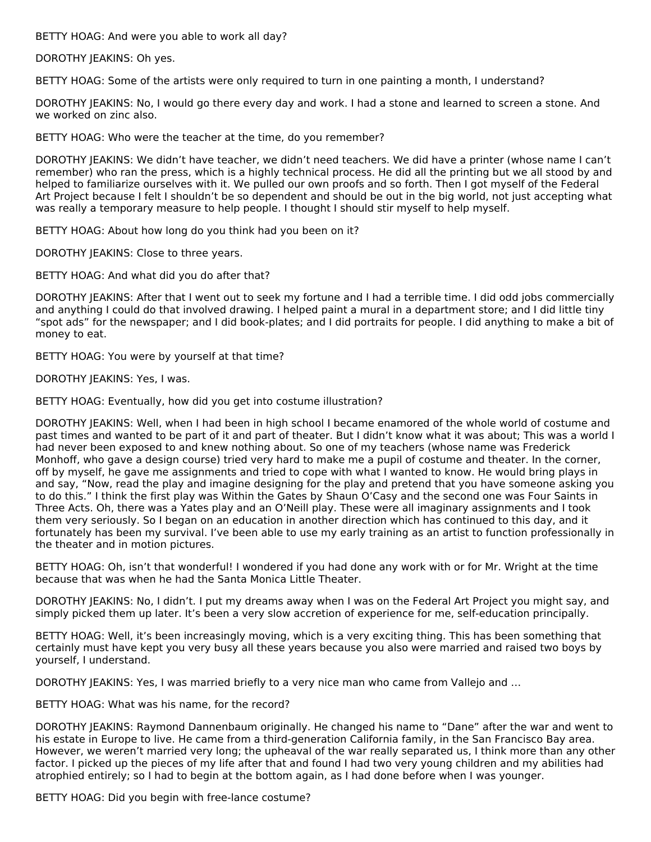BETTY HOAG: And were you able to work all day?

DOROTHY JEAKINS: Oh yes.

BETTY HOAG: Some of the artists were only required to turn in one painting a month, I understand?

DOROTHY JEAKINS: No, I would go there every day and work. I had a stone and learned to screen a stone. And we worked on zinc also.

BETTY HOAG: Who were the teacher at the time, do you remember?

DOROTHY JEAKINS: We didn't have teacher, we didn't need teachers. We did have a printer (whose name I can't remember) who ran the press, which is a highly technical process. He did all the printing but we all stood by and helped to familiarize ourselves with it. We pulled our own proofs and so forth. Then I got myself of the Federal Art Project because I felt I shouldn't be so dependent and should be out in the big world, not just accepting what was really a temporary measure to help people. I thought I should stir myself to help myself.

BETTY HOAG: About how long do you think had you been on it?

DOROTHY JEAKINS: Close to three years.

BETTY HOAG: And what did you do after that?

DOROTHY JEAKINS: After that I went out to seek my fortune and I had a terrible time. I did odd jobs commercially and anything I could do that involved drawing. I helped paint a mural in a department store; and I did little tiny "spot ads" for the newspaper; and I did book-plates; and I did portraits for people. I did anything to make a bit of money to eat.

BETTY HOAG: You were by yourself at that time?

DOROTHY JEAKINS: Yes, I was.

BETTY HOAG: Eventually, how did you get into costume illustration?

DOROTHY JEAKINS: Well, when I had been in high school I became enamored of the whole world of costume and past times and wanted to be part of it and part of theater. But I didn't know what it was about; This was a world I had never been exposed to and knew nothing about. So one of my teachers (whose name was Frederick Monhoff, who gave a design course) tried very hard to make me a pupil of costume and theater. In the corner, off by myself, he gave me assignments and tried to cope with what I wanted to know. He would bring plays in and say, "Now, read the play and imagine designing for the play and pretend that you have someone asking you to do this." I think the first play was Within the Gates by Shaun O'Casy and the second one was Four Saints in Three Acts. Oh, there was a Yates play and an O'Neill play. These were all imaginary assignments and I took them very seriously. So I began on an education in another direction which has continued to this day, and it fortunately has been my survival. I've been able to use my early training as an artist to function professionally in the theater and in motion pictures.

BETTY HOAG: Oh, isn't that wonderful! I wondered if you had done any work with or for Mr. Wright at the time because that was when he had the Santa Monica Little Theater.

DOROTHY JEAKINS: No, I didn't. I put my dreams away when I was on the Federal Art Project you might say, and simply picked them up later. It's been a very slow accretion of experience for me, self-education principally.

BETTY HOAG: Well, it's been increasingly moving, which is a very exciting thing. This has been something that certainly must have kept you very busy all these years because you also were married and raised two boys by yourself, I understand.

DOROTHY JEAKINS: Yes, I was married briefly to a very nice man who came from Vallejo and …

BETTY HOAG: What was his name, for the record?

DOROTHY JEAKINS: Raymond Dannenbaum originally. He changed his name to "Dane" after the war and went to his estate in Europe to live. He came from a third-generation California family, in the San Francisco Bay area. However, we weren't married very long; the upheaval of the war really separated us, I think more than any other factor. I picked up the pieces of my life after that and found I had two very young children and my abilities had atrophied entirely; so I had to begin at the bottom again, as I had done before when I was younger.

BETTY HOAG: Did you begin with free-lance costume?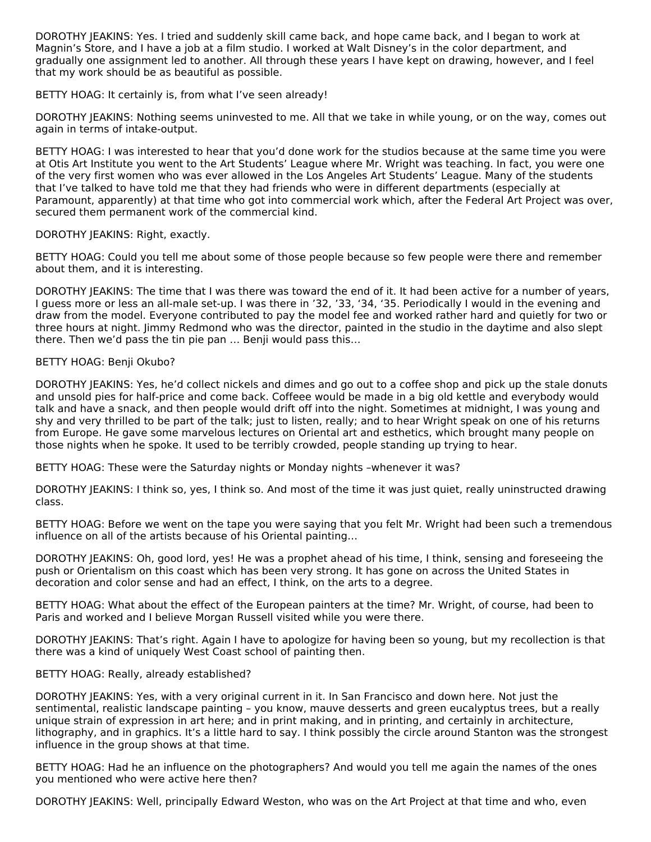DOROTHY JEAKINS: Yes. I tried and suddenly skill came back, and hope came back, and I began to work at Magnin's Store, and I have a job at a film studio. I worked at Walt Disney's in the color department, and gradually one assignment led to another. All through these years I have kept on drawing, however, and I feel that my work should be as beautiful as possible.

BETTY HOAG: It certainly is, from what I've seen already!

DOROTHY JEAKINS: Nothing seems uninvested to me. All that we take in while young, or on the way, comes out again in terms of intake-output.

BETTY HOAG: I was interested to hear that you'd done work for the studios because at the same time you were at Otis Art Institute you went to the Art Students' League where Mr. Wright was teaching. In fact, you were one of the very first women who was ever allowed in the Los Angeles Art Students' League. Many of the students that I've talked to have told me that they had friends who were in different departments (especially at Paramount, apparently) at that time who got into commercial work which, after the Federal Art Project was over, secured them permanent work of the commercial kind.

DOROTHY JEAKINS: Right, exactly.

BETTY HOAG: Could you tell me about some of those people because so few people were there and remember about them, and it is interesting.

DOROTHY JEAKINS: The time that I was there was toward the end of it. It had been active for a number of years, I guess more or less an all-male set-up. I was there in '32, '33, '34, '35. Periodically I would in the evening and draw from the model. Everyone contributed to pay the model fee and worked rather hard and quietly for two or three hours at night. Jimmy Redmond who was the director, painted in the studio in the daytime and also slept there. Then we'd pass the tin pie pan … Benji would pass this…

## BETTY HOAG: Benji Okubo?

DOROTHY JEAKINS: Yes, he'd collect nickels and dimes and go out to a coffee shop and pick up the stale donuts and unsold pies for half-price and come back. Coffeee would be made in a big old kettle and everybody would talk and have a snack, and then people would drift off into the night. Sometimes at midnight, I was young and shy and very thrilled to be part of the talk; just to listen, really; and to hear Wright speak on one of his returns from Europe. He gave some marvelous lectures on Oriental art and esthetics, which brought many people on those nights when he spoke. It used to be terribly crowded, people standing up trying to hear.

BETTY HOAG: These were the Saturday nights or Monday nights –whenever it was?

DOROTHY JEAKINS: I think so, yes, I think so. And most of the time it was just quiet, really uninstructed drawing class.

BETTY HOAG: Before we went on the tape you were saying that you felt Mr. Wright had been such a tremendous influence on all of the artists because of his Oriental painting…

DOROTHY JEAKINS: Oh, good lord, yes! He was a prophet ahead of his time, I think, sensing and foreseeing the push or Orientalism on this coast which has been very strong. It has gone on across the United States in decoration and color sense and had an effect, I think, on the arts to a degree.

BETTY HOAG: What about the effect of the European painters at the time? Mr. Wright, of course, had been to Paris and worked and I believe Morgan Russell visited while you were there.

DOROTHY JEAKINS: That's right. Again I have to apologize for having been so young, but my recollection is that there was a kind of uniquely West Coast school of painting then.

## BETTY HOAG: Really, already established?

DOROTHY JEAKINS: Yes, with a very original current in it. In San Francisco and down here. Not just the sentimental, realistic landscape painting – you know, mauve desserts and green eucalyptus trees, but a really unique strain of expression in art here; and in print making, and in printing, and certainly in architecture, lithography, and in graphics. It's a little hard to say. I think possibly the circle around Stanton was the strongest influence in the group shows at that time.

BETTY HOAG: Had he an influence on the photographers? And would you tell me again the names of the ones you mentioned who were active here then?

DOROTHY JEAKINS: Well, principally Edward Weston, who was on the Art Project at that time and who, even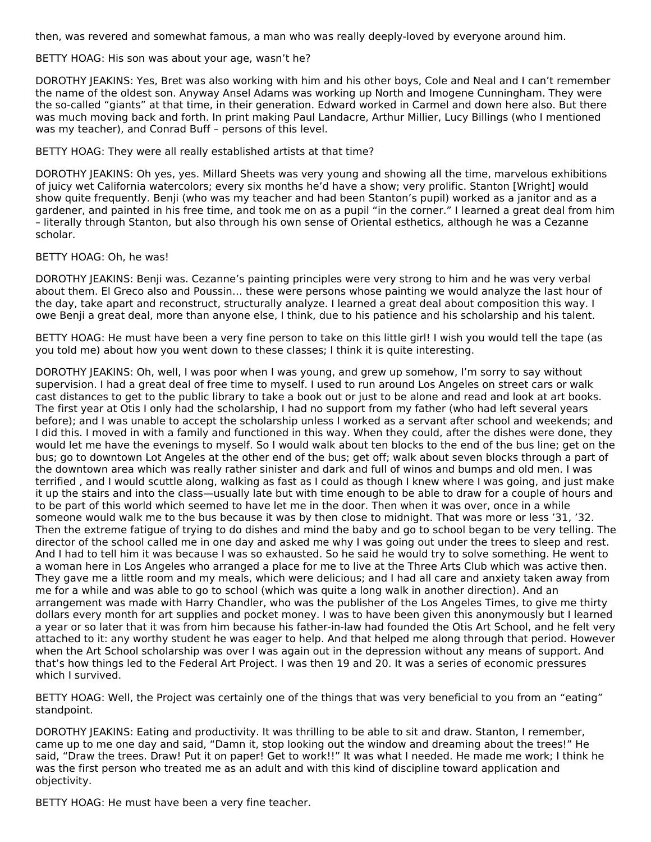then, was revered and somewhat famous, a man who was really deeply-loved by everyone around him.

#### BETTY HOAG: His son was about your age, wasn't he?

DOROTHY JEAKINS: Yes, Bret was also working with him and his other boys, Cole and Neal and I can't remember the name of the oldest son. Anyway Ansel Adams was working up North and Imogene Cunningham. They were the so-called "giants" at that time, in their generation. Edward worked in Carmel and down here also. But there was much moving back and forth. In print making Paul Landacre, Arthur Millier, Lucy Billings (who I mentioned was my teacher), and Conrad Buff – persons of this level.

#### BETTY HOAG: They were all really established artists at that time?

DOROTHY JEAKINS: Oh yes, yes. Millard Sheets was very young and showing all the time, marvelous exhibitions of juicy wet California watercolors; every six months he'd have a show; very prolific. Stanton [Wright] would show quite frequently. Benji (who was my teacher and had been Stanton's pupil) worked as a janitor and as a gardener, and painted in his free time, and took me on as a pupil "in the corner." I learned a great deal from him – literally through Stanton, but also through his own sense of Oriental esthetics, although he was a Cezanne scholar.

#### BETTY HOAG: Oh, he was!

DOROTHY JEAKINS: Benji was. Cezanne's painting principles were very strong to him and he was very verbal about them. El Greco also and Poussin… these were persons whose painting we would analyze the last hour of the day, take apart and reconstruct, structurally analyze. I learned a great deal about composition this way. I owe Benji a great deal, more than anyone else, I think, due to his patience and his scholarship and his talent.

BETTY HOAG: He must have been a very fine person to take on this little girl! I wish you would tell the tape (as you told me) about how you went down to these classes; I think it is quite interesting.

DOROTHY JEAKINS: Oh, well, I was poor when I was young, and grew up somehow, I'm sorry to say without supervision. I had a great deal of free time to myself. I used to run around Los Angeles on street cars or walk cast distances to get to the public library to take a book out or just to be alone and read and look at art books. The first year at Otis I only had the scholarship, I had no support from my father (who had left several years before); and I was unable to accept the scholarship unless I worked as a servant after school and weekends; and I did this. I moved in with a family and functioned in this way. When they could, after the dishes were done, they would let me have the evenings to myself. So I would walk about ten blocks to the end of the bus line; get on the bus; go to downtown Lot Angeles at the other end of the bus; get off; walk about seven blocks through a part of the downtown area which was really rather sinister and dark and full of winos and bumps and old men. I was terrified , and I would scuttle along, walking as fast as I could as though I knew where I was going, and just make it up the stairs and into the class—usually late but with time enough to be able to draw for a couple of hours and to be part of this world which seemed to have let me in the door. Then when it was over, once in a while someone would walk me to the bus because it was by then close to midnight. That was more or less '31, '32. Then the extreme fatigue of trying to do dishes and mind the baby and go to school began to be very telling. The director of the school called me in one day and asked me why I was going out under the trees to sleep and rest. And I had to tell him it was because I was so exhausted. So he said he would try to solve something. He went to a woman here in Los Angeles who arranged a place for me to live at the Three Arts Club which was active then. They gave me a little room and my meals, which were delicious; and I had all care and anxiety taken away from me for a while and was able to go to school (which was quite a long walk in another direction). And an arrangement was made with Harry Chandler, who was the publisher of the Los Angeles Times, to give me thirty dollars every month for art supplies and pocket money. I was to have been given this anonymously but I learned a year or so later that it was from him because his father-in-law had founded the Otis Art School, and he felt very attached to it: any worthy student he was eager to help. And that helped me along through that period. However when the Art School scholarship was over I was again out in the depression without any means of support. And that's how things led to the Federal Art Project. I was then 19 and 20. It was a series of economic pressures which I survived.

BETTY HOAG: Well, the Project was certainly one of the things that was very beneficial to you from an "eating" standpoint.

DOROTHY JEAKINS: Eating and productivity. It was thrilling to be able to sit and draw. Stanton, I remember, came up to me one day and said, "Damn it, stop looking out the window and dreaming about the trees!" He said, "Draw the trees. Draw! Put it on paper! Get to work!!" It was what I needed. He made me work; I think he was the first person who treated me as an adult and with this kind of discipline toward application and objectivity.

BETTY HOAG: He must have been a very fine teacher.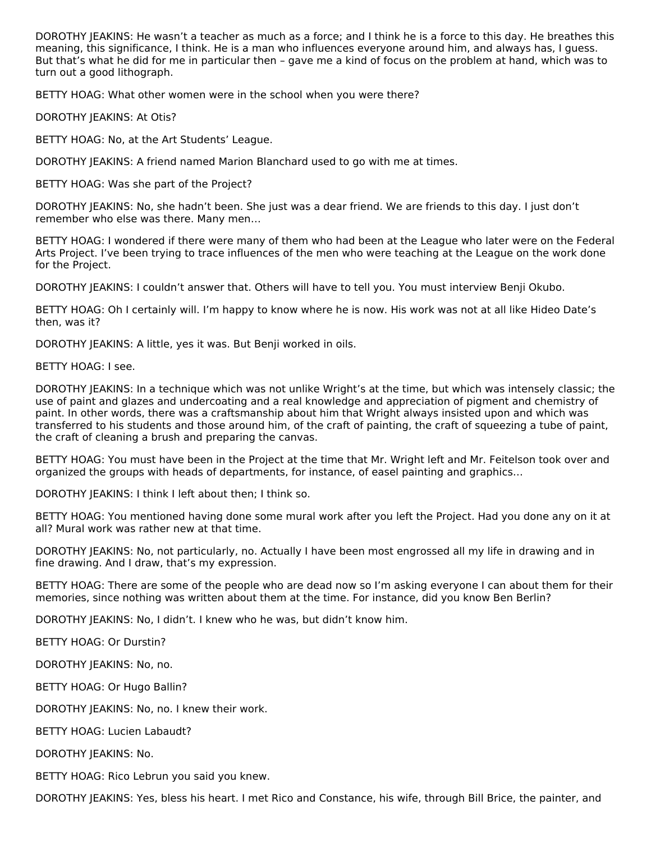DOROTHY JEAKINS: He wasn't a teacher as much as a force; and I think he is a force to this day. He breathes this meaning, this significance, I think. He is a man who influences everyone around him, and always has, I guess. But that's what he did for me in particular then – gave me a kind of focus on the problem at hand, which was to turn out a good lithograph.

BETTY HOAG: What other women were in the school when you were there?

DOROTHY JEAKINS: At Otis?

BETTY HOAG: No, at the Art Students' League.

DOROTHY JEAKINS: A friend named Marion Blanchard used to go with me at times.

BETTY HOAG: Was she part of the Project?

DOROTHY JEAKINS: No, she hadn't been. She just was a dear friend. We are friends to this day. I just don't remember who else was there. Many men…

BETTY HOAG: I wondered if there were many of them who had been at the League who later were on the Federal Arts Project. I've been trying to trace influences of the men who were teaching at the League on the work done for the Project.

DOROTHY JEAKINS: I couldn't answer that. Others will have to tell you. You must interview Benji Okubo.

BETTY HOAG: Oh I certainly will. I'm happy to know where he is now. His work was not at all like Hideo Date's then, was it?

DOROTHY JEAKINS: A little, yes it was. But Benji worked in oils.

BETTY HOAG: I see.

DOROTHY JEAKINS: In a technique which was not unlike Wright's at the time, but which was intensely classic; the use of paint and glazes and undercoating and a real knowledge and appreciation of pigment and chemistry of paint. In other words, there was a craftsmanship about him that Wright always insisted upon and which was transferred to his students and those around him, of the craft of painting, the craft of squeezing a tube of paint, the craft of cleaning a brush and preparing the canvas.

BETTY HOAG: You must have been in the Project at the time that Mr. Wright left and Mr. Feitelson took over and organized the groups with heads of departments, for instance, of easel painting and graphics…

DOROTHY JEAKINS: I think I left about then; I think so.

BETTY HOAG: You mentioned having done some mural work after you left the Project. Had you done any on it at all? Mural work was rather new at that time.

DOROTHY JEAKINS: No, not particularly, no. Actually I have been most engrossed all my life in drawing and in fine drawing. And I draw, that's my expression.

BETTY HOAG: There are some of the people who are dead now so I'm asking everyone I can about them for their memories, since nothing was written about them at the time. For instance, did you know Ben Berlin?

DOROTHY JEAKINS: No, I didn't. I knew who he was, but didn't know him.

BETTY HOAG: Or Durstin?

DOROTHY JEAKINS: No, no.

BETTY HOAG: Or Hugo Ballin?

DOROTHY JEAKINS: No, no. I knew their work.

BETTY HOAG: Lucien Labaudt?

DOROTHY JEAKINS: No.

BETTY HOAG: Rico Lebrun you said you knew.

DOROTHY JEAKINS: Yes, bless his heart. I met Rico and Constance, his wife, through Bill Brice, the painter, and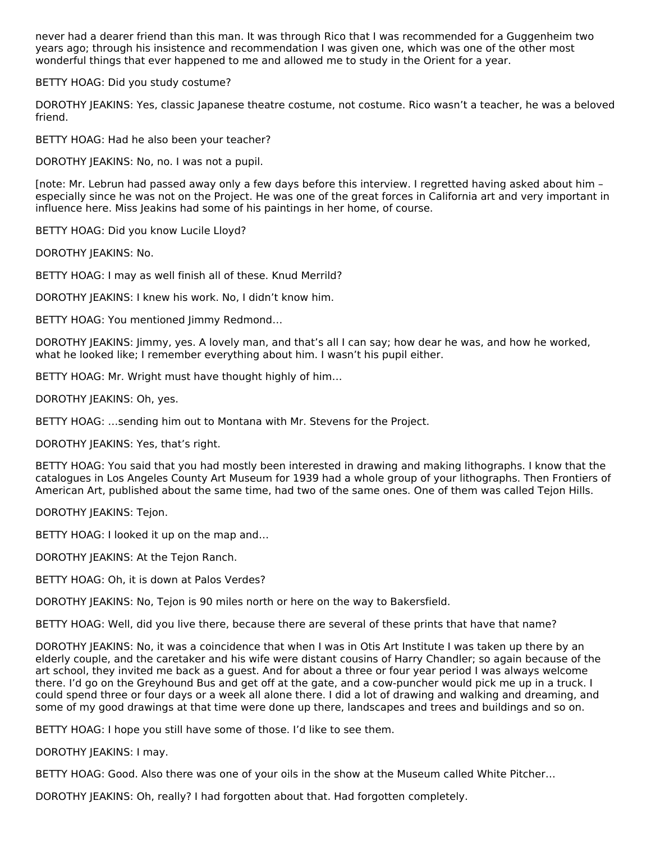never had a dearer friend than this man. It was through Rico that I was recommended for a Guggenheim two years ago; through his insistence and recommendation I was given one, which was one of the other most wonderful things that ever happened to me and allowed me to study in the Orient for a year.

BETTY HOAG: Did you study costume?

DOROTHY JEAKINS: Yes, classic Japanese theatre costume, not costume. Rico wasn't a teacher, he was a beloved friend.

BETTY HOAG: Had he also been your teacher?

DOROTHY JEAKINS: No, no. I was not a pupil.

[note: Mr. Lebrun had passed away only a few days before this interview. I regretted having asked about him – especially since he was not on the Project. He was one of the great forces in California art and very important in influence here. Miss Jeakins had some of his paintings in her home, of course.

BETTY HOAG: Did you know Lucile Lloyd?

DOROTHY JEAKINS: No.

BETTY HOAG: I may as well finish all of these. Knud Merrild?

DOROTHY JEAKINS: I knew his work. No, I didn't know him.

BETTY HOAG: You mentioned Jimmy Redmond…

DOROTHY JEAKINS: Jimmy, yes. A lovely man, and that's all I can say; how dear he was, and how he worked, what he looked like; I remember everything about him. I wasn't his pupil either.

BETTY HOAG: Mr. Wright must have thought highly of him…

DOROTHY JEAKINS: Oh, yes.

BETTY HOAG: …sending him out to Montana with Mr. Stevens for the Project.

DOROTHY JEAKINS: Yes, that's right.

BETTY HOAG: You said that you had mostly been interested in drawing and making lithographs. I know that the catalogues in Los Angeles County Art Museum for 1939 had a whole group of your lithographs. Then Frontiers of American Art, published about the same time, had two of the same ones. One of them was called Tejon Hills.

DOROTHY JEAKINS: Tejon.

BETTY HOAG: I looked it up on the map and…

DOROTHY JEAKINS: At the Tejon Ranch.

BETTY HOAG: Oh, it is down at Palos Verdes?

DOROTHY JEAKINS: No, Tejon is 90 miles north or here on the way to Bakersfield.

BETTY HOAG: Well, did you live there, because there are several of these prints that have that name?

DOROTHY JEAKINS: No, it was a coincidence that when I was in Otis Art Institute I was taken up there by an elderly couple, and the caretaker and his wife were distant cousins of Harry Chandler; so again because of the art school, they invited me back as a guest. And for about a three or four year period I was always welcome there. I'd go on the Greyhound Bus and get off at the gate, and a cow-puncher would pick me up in a truck. I could spend three or four days or a week all alone there. I did a lot of drawing and walking and dreaming, and some of my good drawings at that time were done up there, landscapes and trees and buildings and so on.

BETTY HOAG: I hope you still have some of those. I'd like to see them.

DOROTHY JEAKINS: I may.

BETTY HOAG: Good. Also there was one of your oils in the show at the Museum called White Pitcher…

DOROTHY JEAKINS: Oh, really? I had forgotten about that. Had forgotten completely.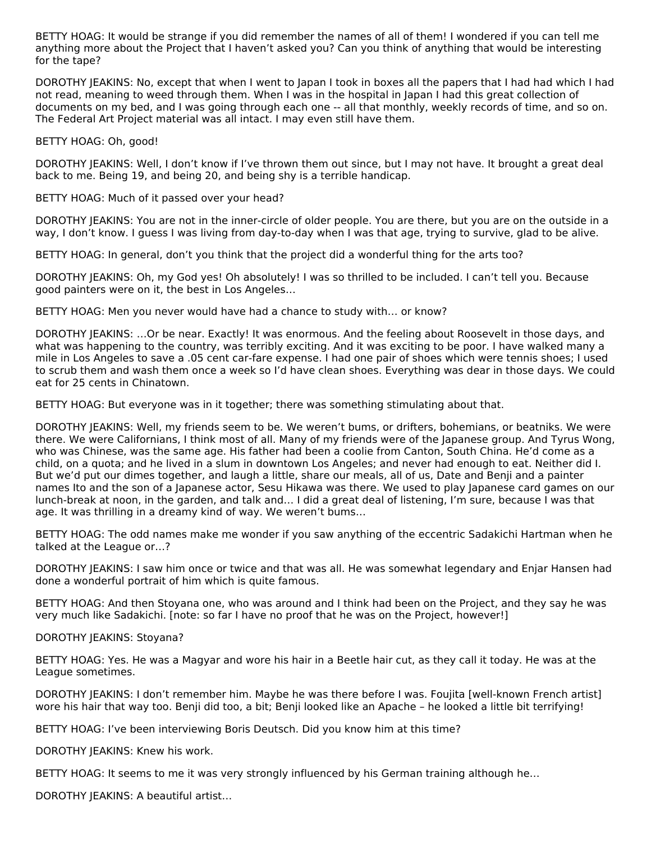BETTY HOAG: It would be strange if you did remember the names of all of them! I wondered if you can tell me anything more about the Project that I haven't asked you? Can you think of anything that would be interesting for the tape?

DOROTHY JEAKINS: No, except that when I went to Japan I took in boxes all the papers that I had had which I had not read, meaning to weed through them. When I was in the hospital in Japan I had this great collection of documents on my bed, and I was going through each one -- all that monthly, weekly records of time, and so on. The Federal Art Project material was all intact. I may even still have them.

BETTY HOAG: Oh, good!

DOROTHY JEAKINS: Well, I don't know if I've thrown them out since, but I may not have. It brought a great deal back to me. Being 19, and being 20, and being shy is a terrible handicap.

BETTY HOAG: Much of it passed over your head?

DOROTHY JEAKINS: You are not in the inner-circle of older people. You are there, but you are on the outside in a way, I don't know. I guess I was living from day-to-day when I was that age, trying to survive, glad to be alive.

BETTY HOAG: In general, don't you think that the project did a wonderful thing for the arts too?

DOROTHY JEAKINS: Oh, my God yes! Oh absolutely! I was so thrilled to be included. I can't tell you. Because good painters were on it, the best in Los Angeles…

BETTY HOAG: Men you never would have had a chance to study with… or know?

DOROTHY JEAKINS: …Or be near. Exactly! It was enormous. And the feeling about Roosevelt in those days, and what was happening to the country, was terribly exciting. And it was exciting to be poor. I have walked many a mile in Los Angeles to save a .05 cent car-fare expense. I had one pair of shoes which were tennis shoes; I used to scrub them and wash them once a week so I'd have clean shoes. Everything was dear in those days. We could eat for 25 cents in Chinatown.

BETTY HOAG: But everyone was in it together; there was something stimulating about that.

DOROTHY JEAKINS: Well, my friends seem to be. We weren't bums, or drifters, bohemians, or beatniks. We were there. We were Californians, I think most of all. Many of my friends were of the Japanese group. And Tyrus Wong, who was Chinese, was the same age. His father had been a coolie from Canton, South China. He'd come as a child, on a quota; and he lived in a slum in downtown Los Angeles; and never had enough to eat. Neither did I. But we'd put our dimes together, and laugh a little, share our meals, all of us, Date and Benji and a painter names Ito and the son of a Japanese actor, Sesu Hikawa was there. We used to play Japanese card games on our lunch-break at noon, in the garden, and talk and… I did a great deal of listening, I'm sure, because I was that age. It was thrilling in a dreamy kind of way. We weren't bums…

BETTY HOAG: The odd names make me wonder if you saw anything of the eccentric Sadakichi Hartman when he talked at the League or…?

DOROTHY JEAKINS: I saw him once or twice and that was all. He was somewhat legendary and Enjar Hansen had done a wonderful portrait of him which is quite famous.

BETTY HOAG: And then Stoyana one, who was around and I think had been on the Project, and they say he was very much like Sadakichi. [note: so far I have no proof that he was on the Project, however!]

DOROTHY JEAKINS: Stoyana?

BETTY HOAG: Yes. He was a Magyar and wore his hair in a Beetle hair cut, as they call it today. He was at the League sometimes.

DOROTHY JEAKINS: I don't remember him. Maybe he was there before I was. Foujita [well-known French artist] wore his hair that way too. Benji did too, a bit; Benji looked like an Apache – he looked a little bit terrifying!

BETTY HOAG: I've been interviewing Boris Deutsch. Did you know him at this time?

DOROTHY JEAKINS: Knew his work.

BETTY HOAG: It seems to me it was very strongly influenced by his German training although he...

DOROTHY JEAKINS: A beautiful artist…